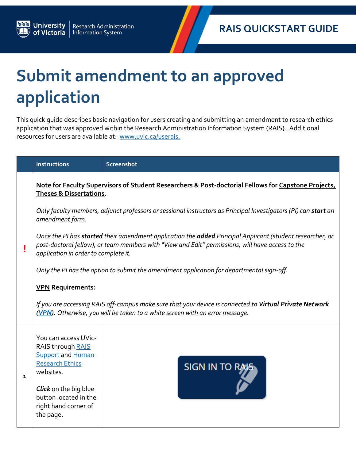## **Submit amendment to an approved application**

**University**<br>of Victoria

Research Administration<br>Information System

This quick guide describes basic navigation for users creating and submitting an amendment to research ethics application that was approved within the Research Administration Information System (RAIS**)**. Additional resources for users are available at: [www.uvic.ca/userais.](http://www.uvic.ca/userais)

|   | <b>Instructions</b>                                                                                                                                                                                                                                   | Screenshot            |  |  |  |
|---|-------------------------------------------------------------------------------------------------------------------------------------------------------------------------------------------------------------------------------------------------------|-----------------------|--|--|--|
|   | Note for Faculty Supervisors of Student Researchers & Post-doctorial Fellows for Capstone Projects,<br>Theses & Dissertations.                                                                                                                        |                       |  |  |  |
|   | Only faculty members, adjunct professors or sessional instructors as Principal Investigators (PI) can start an<br>amendment form.                                                                                                                     |                       |  |  |  |
|   | Once the PI has started their amendment application the added Principal Applicant (student researcher, or<br>post-doctoral fellow), or team members with "View and Edit" permissions, will have access to the<br>application in order to complete it. |                       |  |  |  |
|   | Only the PI has the option to submit the amendment application for departmental sign-off.                                                                                                                                                             |                       |  |  |  |
|   | <b>VPN</b> Requirements:                                                                                                                                                                                                                              |                       |  |  |  |
|   | If you are accessing RAIS off-campus make sure that your device is connected to Virtual Private Network<br>(VPN). Otherwise, you will be taken to a white screen with an error message.                                                               |                       |  |  |  |
| 1 | You can access UVic-<br>RAIS through RAIS                                                                                                                                                                                                             |                       |  |  |  |
|   | <b>Support and Human</b><br><b>Research Ethics</b><br>websites.                                                                                                                                                                                       | <b>SIGN IN TO RAK</b> |  |  |  |
|   | <b>Click</b> on the big blue<br>button located in the<br>right hand corner of<br>the page.                                                                                                                                                            |                       |  |  |  |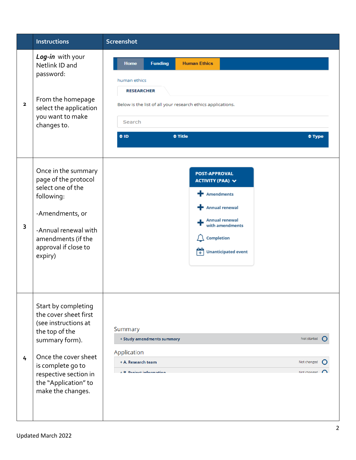|                         | <b>Instructions</b>                                                                                                                                                                                                         | Screenshot                                                                                                                                                                                                                           |
|-------------------------|-----------------------------------------------------------------------------------------------------------------------------------------------------------------------------------------------------------------------------|--------------------------------------------------------------------------------------------------------------------------------------------------------------------------------------------------------------------------------------|
| $\overline{\mathbf{2}}$ | Log-in with your<br>Netlink ID and<br>password:<br>From the homepage<br>select the application<br>you want to make<br>changes to.                                                                                           | <b>Funding</b><br><b>Human Ethics</b><br><b>Home</b><br>human ethics<br><b>RESEARCHER</b><br>Below is the list of all your research ethics applications.<br>Search<br>$\Leftrightarrow$ ID<br>$\div$ Title<br>$\Leftrightarrow$ Type |
| 3                       | Once in the summary<br>page of the protocol<br>select one of the<br>following:<br>-Amendments, or<br>-Annual renewal with<br>amendments (if the<br>approval if close to<br>expiry)                                          | <b>POST-APPROVAL</b><br>ACTIVITY (PAA) V<br>Amendments<br><b>Annual renewal</b><br><b>Annual renewal</b><br>with amendments<br>Completion<br>Ħ<br><b>Unanticipated event</b>                                                         |
| 4                       | Start by completing<br>the cover sheet first<br>(see instructions at<br>the top of the<br>summary form).<br>Once the cover sheet<br>is complete go to<br>respective section in<br>the "Application" to<br>make the changes. | Summary<br>+ Study amendments summary<br>Not started<br>Application<br>+ A. Research team<br>Not changed<br><b>E. R. Project information</b><br>Not changed                                                                          |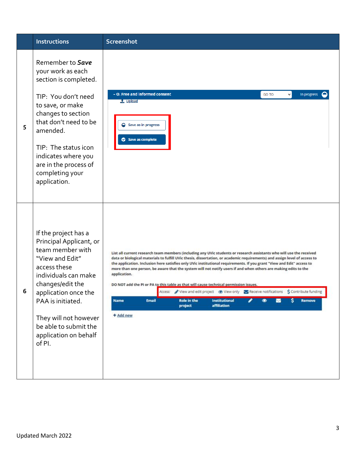|   | <b>Instructions</b>                                                                                                                                                                                                                                                                  | Screenshot                                                                                                                                                                                                                                                                                                                                                                                                                                                                                                                                                                                                                                                                                                                                                                                                                         |
|---|--------------------------------------------------------------------------------------------------------------------------------------------------------------------------------------------------------------------------------------------------------------------------------------|------------------------------------------------------------------------------------------------------------------------------------------------------------------------------------------------------------------------------------------------------------------------------------------------------------------------------------------------------------------------------------------------------------------------------------------------------------------------------------------------------------------------------------------------------------------------------------------------------------------------------------------------------------------------------------------------------------------------------------------------------------------------------------------------------------------------------------|
| 5 | Remember to Save<br>your work as each<br>section is completed.<br>TIP: You don't need<br>to save, or make<br>changes to section<br>that don't need to be<br>amended.<br>TIP: The status icon<br>indicates where you<br>are in the process of<br>completing your<br>application.      | - O. Free and informed consent<br>GO TO<br>In progress<br>t Upload<br>$\bigcirc$ Save as in progress<br>Save as complete                                                                                                                                                                                                                                                                                                                                                                                                                                                                                                                                                                                                                                                                                                           |
| 6 | If the project has a<br>Principal Applicant, or<br>team member with<br>"View and Edit"<br>access these<br>individuals can make<br>changes/edit the<br>application once the<br>PAA is initiated.<br>They will not however<br>be able to submit the<br>application on behalf<br>of PI. | List all current research team members (including any UVic students or research assistants who will use the received<br>data or biological materials to fulfill UVic thesis, dissertation, or academic requirements) and assign level of access to<br>the application. Inclusion here satisfies only UVic institutional requirements. If you grant "View and Edit" access to<br>more than one person, be aware that the system will not notify users if and when others are making edits to the<br>application.<br>DO NOT add the PI or PA to this table as that will cause technical permission issues.<br>Access: New and edit project  view only<br>New only<br>Receive notifications S Contribute funding<br>Role in the<br><b>Institutional</b><br>Remove<br>Email<br>s<br><b>Name</b><br>project<br>affiliation<br>+ Add new |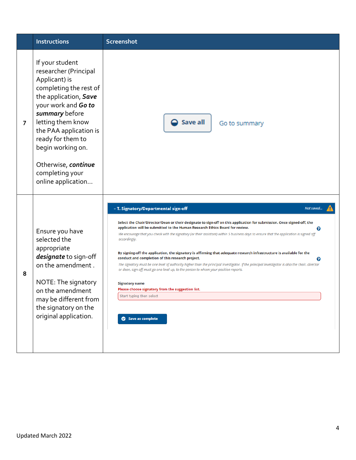|                | <b>Instructions</b>                                                                                                                                                                                                                                                                                            | <b>Screenshot</b>                                                                                                                                                                                                                                                                                                                                                                                                                                                                                                                                                                                                                                                                                                                                                                                                                                                                                                                                                                     |
|----------------|----------------------------------------------------------------------------------------------------------------------------------------------------------------------------------------------------------------------------------------------------------------------------------------------------------------|---------------------------------------------------------------------------------------------------------------------------------------------------------------------------------------------------------------------------------------------------------------------------------------------------------------------------------------------------------------------------------------------------------------------------------------------------------------------------------------------------------------------------------------------------------------------------------------------------------------------------------------------------------------------------------------------------------------------------------------------------------------------------------------------------------------------------------------------------------------------------------------------------------------------------------------------------------------------------------------|
| $\overline{7}$ | If your student<br>researcher (Principal<br>Applicant) is<br>completing the rest of<br>the application, Save<br>your work and Go to<br>summary before<br>letting them know<br>the PAA application is<br>ready for them to<br>begin working on.<br>Otherwise, continue<br>completing your<br>online application | Save all<br>Go to summary                                                                                                                                                                                                                                                                                                                                                                                                                                                                                                                                                                                                                                                                                                                                                                                                                                                                                                                                                             |
| 8              | Ensure you have<br>selected the<br>appropriate<br>designate to sign-off<br>on the amendment.<br>NOTE: The signatory<br>on the amendment<br>may be different from<br>the signatory on the<br>original application.                                                                                              | - T. Signatory/Departmental sign-off<br>Not saved<br>Select the Chair/Director/Dean or their designate to sign-off on this application for submission. Once signed-off, the<br>application will be submitted to the Human Research Ethics Board for review.<br>ℯ<br>We encourage that you check with the signatory (or their assistant) within 5 business days to ensure that the application is signed off<br>accordingly.<br>By signing-off the application, the signatory is affirming that adequate research infrastructure is available for the<br>conduct and completion of this research project.<br>0<br>The signatory must be one level of authority higher than the principal investigator. If the principal investigator is also the chair, director<br>or dean, sign-off must go one level up, to the person to whom your position reports.<br><b>Signatory name</b><br>Please choose signatory from the suggestion list.<br>Start typing then select<br>Save as complete |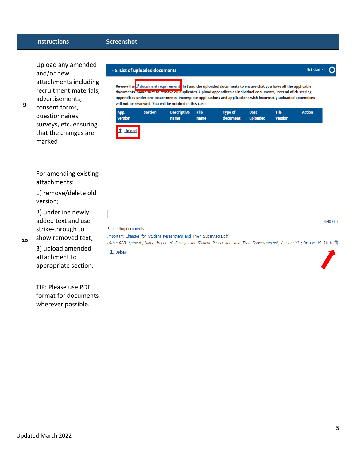|    | <b>Instructions</b>                                                                                                                                                                                                                                                                                 | Screenshot                                                                                                                                                                                                                                                                                                                                                                                                                                                                                                                                                                                                                                                                       |
|----|-----------------------------------------------------------------------------------------------------------------------------------------------------------------------------------------------------------------------------------------------------------------------------------------------------|----------------------------------------------------------------------------------------------------------------------------------------------------------------------------------------------------------------------------------------------------------------------------------------------------------------------------------------------------------------------------------------------------------------------------------------------------------------------------------------------------------------------------------------------------------------------------------------------------------------------------------------------------------------------------------|
| 9  | Upload any amended<br>and/or new<br>attachments including<br>recruitment materials,<br>advertisements,<br>consent forms,<br>questionnaires,<br>surveys, etc. ensuring<br>that the changes are<br>marked                                                                                             | - S. List of uploaded documents<br>Not started<br>Review the 3 document requirement. Itst and the uploaded documents to ensure that you have all the applicable<br>documents. Make sure to remove all duplicates. Upload appendices as individual documents, instead of clustering<br>appendices under one attachments. Incomplete applications and applications with incorrectly uploaded appendices<br>will not be reviewed. You will be notified in this case.<br><b>Section</b><br>App.<br><b>Descriptive</b><br><b>File</b><br><b>Type of</b><br><b>Date</b><br><b>File</b><br><b>Action</b><br>version<br>document<br>uploaded<br>version<br>name<br>name<br><u>Upload</u> |
| 10 | For amending existing<br>attachments:<br>1) remove/delete old<br>version;<br>2) underline newly<br>added text and use<br>strike-through to<br>show removed text;<br>3) upload amended<br>attachment to<br>appropriate section.<br>TIP: Please use PDF<br>format for documents<br>wherever possible. | 4/4000 ch<br>Supporting documents<br>Important Changes for Student Researchers and Their Supervisors.pdf<br>(Other REB approvals, Name: Important_Changes_for_Student_Researchers_and_Their_Supervisors.pdf, Version: V1); October 19, 2018 面<br>t Upload                                                                                                                                                                                                                                                                                                                                                                                                                        |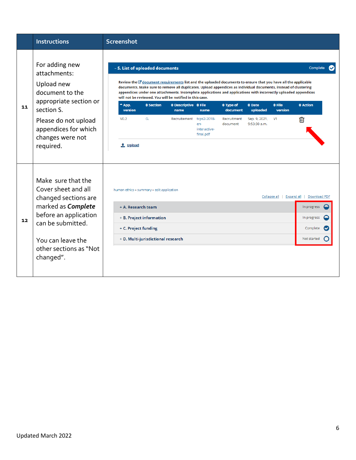|    | <b>Instructions</b>                                                                                                     | <b>Screenshot</b>                                                                                                                                                                                                                                                                                                                                                                                                                                                |                                                                        |
|----|-------------------------------------------------------------------------------------------------------------------------|------------------------------------------------------------------------------------------------------------------------------------------------------------------------------------------------------------------------------------------------------------------------------------------------------------------------------------------------------------------------------------------------------------------------------------------------------------------|------------------------------------------------------------------------|
|    | For adding new<br>attachments:<br>Upload new<br>document to the<br>appropriate section or                               | - S. List of uploaded documents<br>Review the $G$ document requirements list and the uploaded documents to ensure that you have all the applicable<br>documents. Make sure to remove all duplicates. Upload appendices as individual documents, instead of clustering<br>appendices under one attachments. Incomplete applications and applications with incorrectly uploaded appendices<br>will not be reviewed. You will be notified in this case.<br>$e$ File | Complete                                                               |
| 11 | section S.                                                                                                              | $A$ App.<br><b>≑ Section</b><br><b>≑ Descriptive ≑ File</b><br><b>≑ Type of</b><br>$\Leftrightarrow$ Date<br>version<br>document<br>uploaded<br>version<br>name<br>name<br>V <sub>0.2</sub><br>G.<br>V1                                                                                                                                                                                                                                                          | <b>≑ Action</b>                                                        |
|    | Please do not upload<br>appendices for which<br>changes were not                                                        | Sep. 9, 2021,<br>Recruitement<br>tcps2-2018-<br>Recruitment<br>9:53:30 a.m.<br>en-<br>document<br>interactive-<br>final.pdf                                                                                                                                                                                                                                                                                                                                      | णि                                                                     |
|    | required.                                                                                                               | t Upload                                                                                                                                                                                                                                                                                                                                                                                                                                                         |                                                                        |
|    | Make sure that the<br>Cover sheet and all<br>changed sections are<br>marked as <b>Complete</b><br>before an application | human ethics » summary » edit application<br>+ A. Research team<br>+ B. Project information                                                                                                                                                                                                                                                                                                                                                                      | Collapse all   Expand all   Download PDF<br>In progress<br>In progress |
| 12 | can be submitted.                                                                                                       | + C. Project funding                                                                                                                                                                                                                                                                                                                                                                                                                                             | Complete                                                               |
|    | You can leave the                                                                                                       | + D. Multi-jurisdictional research                                                                                                                                                                                                                                                                                                                                                                                                                               | Not started                                                            |
|    | other sections as "Not<br>changed".                                                                                     |                                                                                                                                                                                                                                                                                                                                                                                                                                                                  |                                                                        |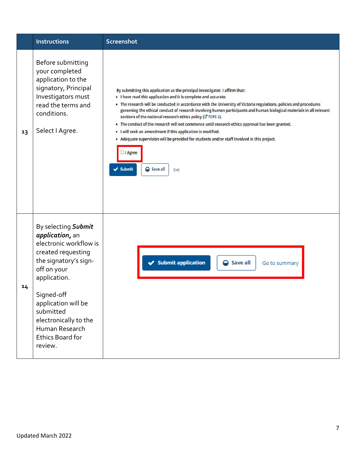|    | <b>Instructions</b>                                                                                                                                                                                                                                                               | <b>Screenshot</b>                                                                                                                                                                                                                                                                                                                                                                                                                                                                                                                                                                                                                                                                                                                                                                 |  |  |  |  |
|----|-----------------------------------------------------------------------------------------------------------------------------------------------------------------------------------------------------------------------------------------------------------------------------------|-----------------------------------------------------------------------------------------------------------------------------------------------------------------------------------------------------------------------------------------------------------------------------------------------------------------------------------------------------------------------------------------------------------------------------------------------------------------------------------------------------------------------------------------------------------------------------------------------------------------------------------------------------------------------------------------------------------------------------------------------------------------------------------|--|--|--|--|
| 13 | Before submitting<br>your completed<br>application to the<br>signatory, Principal<br>Investigators must<br>read the terms and<br>conditions.<br>Select I Agree.                                                                                                                   | By submitting this application as the principal investigator, I affirm that:<br>. I have read this application and it is complete and accurate.<br>. The research will be conducted in accordance with the University of Victoria regulations, policies and procedures<br>governing the ethical conduct of research involving human participants and human biological materials in all relevant<br>sections of the national research ethics policy (C TCPS 2).<br>. The conduct of the research will not commence until research ethics approval has been granted.<br>. I will seek an amendment if this application is modified.<br>- Adequate supervision will be provided for students and/or staff involved in this project.<br>Ol Agree<br>$\vee$ Submit<br>Save all<br>Exit |  |  |  |  |
| 14 | By selecting Submit<br>application, an<br>electronic workflow is<br>created requesting<br>the signatory's sign-<br>off on your<br>application.<br>Signed-off<br>application will be<br>submitted<br>electronically to the<br>Human Research<br><b>Ethics Board for</b><br>review. | Submit application<br><b>●</b> Save all<br>Go to summary                                                                                                                                                                                                                                                                                                                                                                                                                                                                                                                                                                                                                                                                                                                          |  |  |  |  |